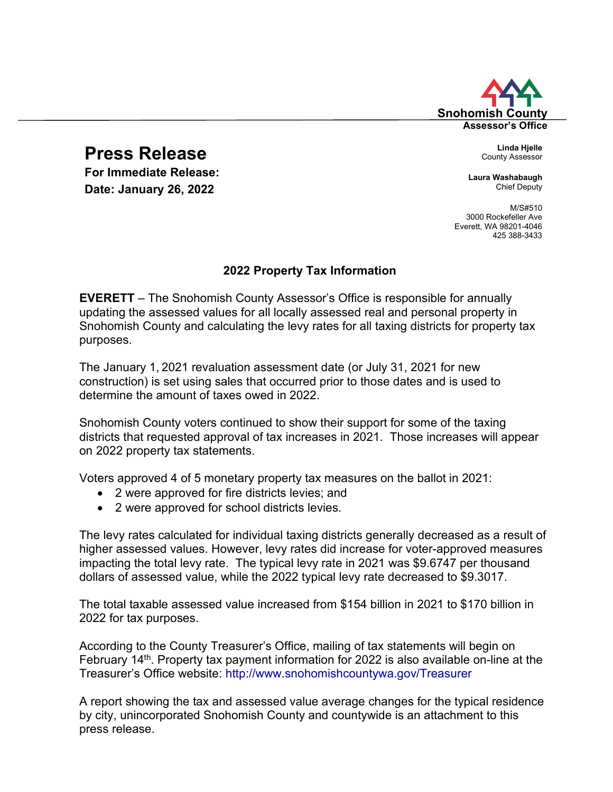# Snohomish **Assessor's Office**

# **Press Release**

**For Immediate Release:**<br> **Date:** Laura Washabaugh<br>
Chief Deputy **Date: January 26, 2022** 

County Assessor

M/S#510 3000 Rockefeller Ave Everett, WA 98201-4046 425 388-3433

## **2022 Property Tax Information**

**EVERETT** – The Snohomish County Assessor's Office is responsible for annually updating the assessed values for all locally assessed real and personal property in Snohomish County and calculating the levy rates for all taxing districts for property tax purposes.

The January 1, 2021 revaluation assessment date (or July 31, 2021 for new construction) is set using sales that occurred prior to those dates and is used to determine the amount of taxes owed in 2022.

Snohomish County voters continued to show their support for some of the taxing districts that requested approval of tax increases in 2021. Those increases will appear on 2022 property tax statements.

Voters approved 4 of 5 monetary property tax measures on the ballot in 2021:

- 2 were approved for fire districts levies; and
- 2 were approved for school districts levies.

The levy rates calculated for individual taxing districts generally decreased as a result of higher assessed values. However, levy rates did increase for voter-approved measures impacting the total levy rate. The typical levy rate in 2021 was \$9.6747 per thousand dollars of assessed value, while the 2022 typical levy rate decreased to \$9.3017.

The total taxable assessed value increased from \$154 billion in 2021 to \$170 billion in 2022 for tax purposes.

According to the County Treasurer's Office, mailing of tax statements will begin on February 14<sup>th</sup>. Property tax payment information for 2022 is also available on-line at the Treasurer's Office website: <http://www.snohomishcountywa.gov/Treasurer>

A report showing the tax and assessed value average changes for the typical residence by city, unincorporated Snohomish County and countywide is an attachment to this press release.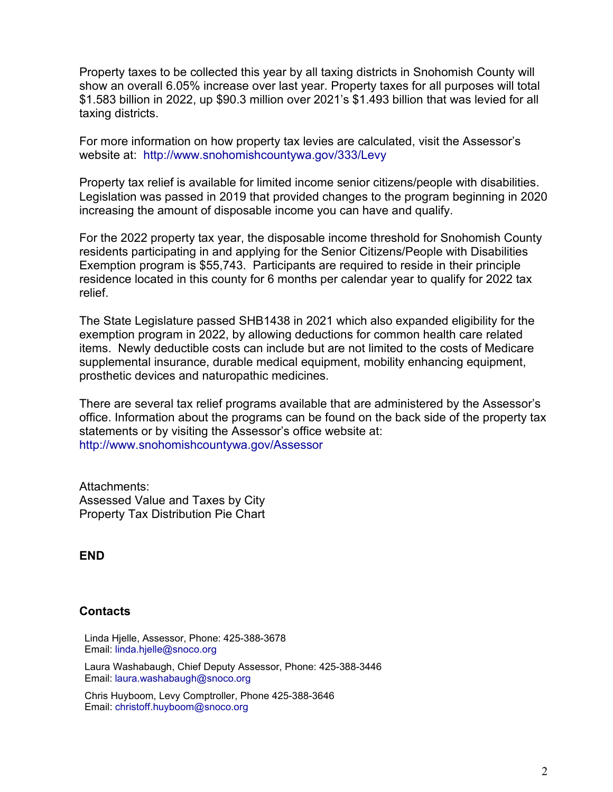Property taxes to be collected this year by all taxing districts in Snohomish County will show an overall 6.05% increase over last year. Property taxes for all purposes will total \$1.583 billion in 2022, up \$90.3 million over 2021's \$1.493 billion that was levied for all taxing districts.

For more information on how property tax levies are calculated, visit the Assessor's website at: <http://www.snohomishcountywa.gov/333/Levy>

Property tax relief is available for limited income senior citizens/people with disabilities. Legislation was passed in 2019 that provided changes to the program beginning in 2020 increasing the amount of disposable income you can have and qualify.

For the 2022 property tax year, the disposable income threshold for Snohomish County residents participating in and applying for the Senior Citizens/People with Disabilities Exemption program is \$55,743. Participants are required to reside in their principle residence located in this county for 6 months per calendar year to qualify for 2022 tax relief.

The State Legislature passed SHB1438 in 2021 which also expanded eligibility for the exemption program in 2022, by allowing deductions for common health care related items. Newly deductible costs can include but are not limited to the costs of Medicare supplemental insurance, durable medical equipment, mobility enhancing equipment, prosthetic devices and naturopathic medicines.

There are several tax relief programs available that are administered by the Assessor's office. Information about the programs can be found on the back side of the property tax statements or by visiting the Assessor's office website at: <http://www.snohomishcountywa.gov/Assessor>

Attachments: Assessed Value and Taxes by City Property Tax Distribution Pie Chart

### **END**

### **Contacts**

Linda Hjelle, Assessor, Phone: 425-388-3678 Email: [linda.hjelle@snoco.org](mailto:linda.hjelle@snoco.org)

Laura Washabaugh, Chief Deputy Assessor, Phone: 425-388-3446 Email: [laura.washabaugh@snoco.org](mailto:laura.washabaugh@snoco.org)

Chris Huyboom, Levy Comptroller, Phone 425-388-3646 Email: [christoff.huyboom@snoco.org](mailto:christoff.huyboom@snoco.org)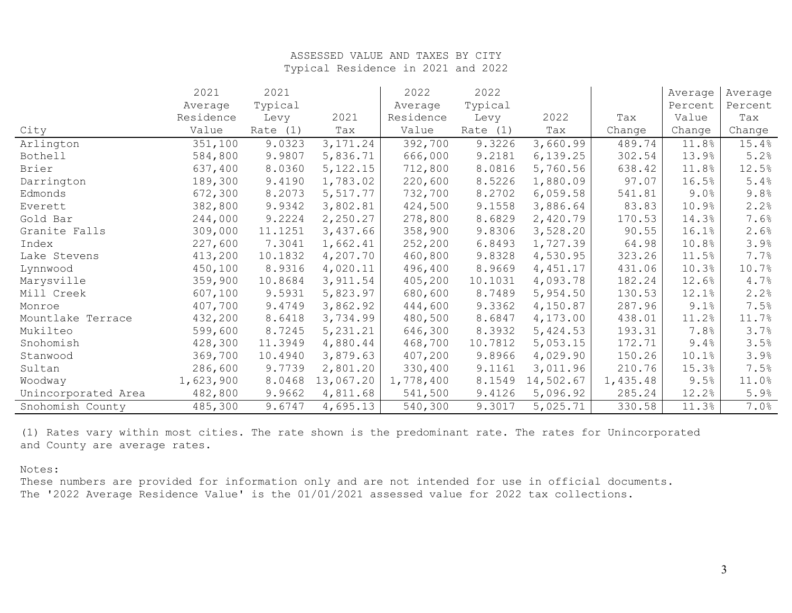#### ASSESSED VALUE AND TAXES BY CITY Typical Residence in 2021 and 2022

|                     | 2021      | 2021     |            | 2022      | 2022     |           |          | Average | Average |
|---------------------|-----------|----------|------------|-----------|----------|-----------|----------|---------|---------|
|                     | Average   | Typical  |            | Average   | Typical  |           |          | Percent | Percent |
|                     | Residence | Levy     | 2021       | Residence | Levy     | 2022      | Tax      | Value   | Tax     |
| City                | Value     | Rate (1) | Tax        | Value     | Rate (1) | Tax       | Change   | Change  | Change  |
| Arlington           | 351,100   | 9.0323   | 3, 171.24  | 392,700   | 9.3226   | 3,660.99  | 489.74   | 11.8%   | 15.4%   |
| Bothell             | 584,800   | 9.9807   | 5,836.71   | 666,000   | 9.2181   | 6, 139.25 | 302.54   | 13.9%   | 5.2%    |
| Brier               | 637,400   | 8.0360   | 5, 122. 15 | 712,800   | 8.0816   | 5,760.56  | 638.42   | 11.8%   | 12.5%   |
| Darrington          | 189,300   | 9.4190   | 1,783.02   | 220,600   | 8.5226   | 1,880.09  | 97.07    | 16.5%   | 5.4%    |
| Edmonds             | 672,300   | 8.2073   | 5,517.77   | 732,700   | 8.2702   | 6,059.58  | 541.81   | 9.0%    | 9.8%    |
| Everett             | 382,800   | 9.9342   | 3,802.81   | 424,500   | 9.1558   | 3,886.64  | 83.83    | 10.9%   | 2.2%    |
| Gold Bar            | 244,000   | 9.2224   | 2,250.27   | 278,800   | 8.6829   | 2,420.79  | 170.53   | 14.3%   | 7.6%    |
| Granite Falls       | 309,000   | 11.1251  | 3,437.66   | 358,900   | 9.8306   | 3,528.20  | 90.55    | 16.1%   | 2.6%    |
| Index               | 227,600   | 7.3041   | 1,662.41   | 252,200   | 6.8493   | 1,727.39  | 64.98    | 10.8%   | 3.9%    |
| Lake Stevens        | 413,200   | 10.1832  | 4,207.70   | 460,800   | 9.8328   | 4,530.95  | 323.26   | 11.5%   | 7.7%    |
| Lynnwood            | 450,100   | 8.9316   | 4,020.11   | 496,400   | 8.9669   | 4,451.17  | 431.06   | 10.3%   | 10.7%   |
| Marysville          | 359,900   | 10.8684  | 3,911.54   | 405,200   | 10.1031  | 4,093.78  | 182.24   | 12.6%   | 4.7%    |
| Mill Creek          | 607,100   | 9.5931   | 5,823.97   | 680,600   | 8.7489   | 5,954.50  | 130.53   | 12.1%   | 2.2%    |
| Monroe              | 407,700   | 9.4749   | 3,862.92   | 444,600   | 9.3362   | 4,150.87  | 287.96   | 9.1%    | 7.5%    |
| Mountlake Terrace   | 432,200   | 8.6418   | 3,734.99   | 480,500   | 8.6847   | 4,173.00  | 438.01   | 11.2%   | 11.7%   |
| Mukilteo            | 599,600   | 8.7245   | 5, 231.21  | 646,300   | 8.3932   | 5,424.53  | 193.31   | 7.8%    | 3.7%    |
| Snohomish           | 428,300   | 11.3949  | 4,880.44   | 468,700   | 10.7812  | 5,053.15  | 172.71   | 9.4%    | 3.5%    |
| Stanwood            | 369,700   | 10.4940  | 3,879.63   | 407,200   | 9.8966   | 4,029.90  | 150.26   | 10.1%   | 3.9%    |
| Sultan              | 286,600   | 9.7739   | 2,801.20   | 330,400   | 9.1161   | 3,011.96  | 210.76   | 15.3%   | 7.5%    |
| Woodway             | 1,623,900 | 8.0468   | 13,067.20  | 1,778,400 | 8.1549   | 14,502.67 | 1,435.48 | 9.5%    | 11.0%   |
| Unincorporated Area | 482,800   | 9.9662   | 4,811.68   | 541,500   | 9.4126   | 5,096.92  | 285.24   | 12.2%   | 5.9%    |
| Snohomish County    | 485,300   | 9.6747   | 4,695.13   | 540,300   | 9.3017   | 5,025.71  | 330.58   | 11.3%   | 7.0%    |

(1) Rates vary within most cities. The rate shown is the predominant rate. The rates for Unincorporated and County are average rates.

#### Notes:

These numbers are provided for information only and are not intended for use in official documents. The '2022 Average Residence Value' is the 01/01/2021 assessed value for 2022 tax collections.